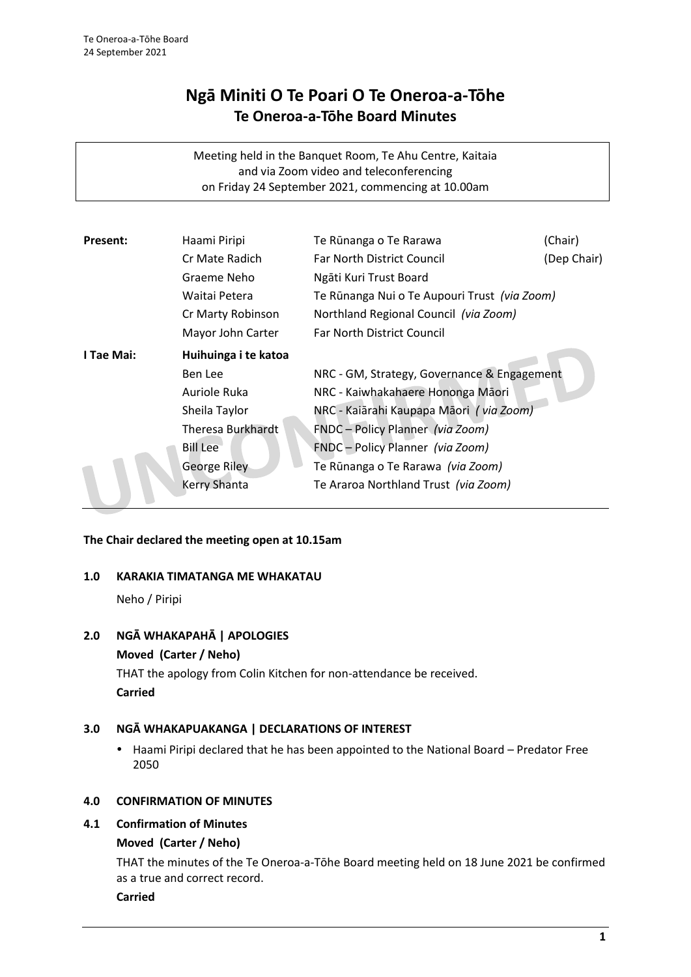# **Ngā Miniti O Te Poari O Te Oneroa-a-Tōhe Te Oneroa-a-Tōhe Board Minutes**

Meeting held in the Banquet Room, Te Ahu Centre, Kaitaia and via Zoom video and teleconferencing on Friday 24 September 2021, commencing at 10.00am

| <b>Present:</b> | Haami Piripi             | Te Rūnanga o Te Rarawa                       | (Chair)     |
|-----------------|--------------------------|----------------------------------------------|-------------|
|                 | Cr Mate Radich           | <b>Far North District Council</b>            | (Dep Chair) |
|                 | Graeme Neho              | Ngāti Kuri Trust Board                       |             |
|                 | Waitai Petera            | Te Rūnanga Nui o Te Aupouri Trust (via Zoom) |             |
|                 | Cr Marty Robinson        | Northland Regional Council (via Zoom)        |             |
|                 | Mayor John Carter        | <b>Far North District Council</b>            |             |
| I Tae Mai:      | Huihuinga i te katoa     |                                              |             |
|                 | Ben Lee                  | NRC - GM, Strategy, Governance & Engagement  |             |
|                 | Auriole Ruka             | NRC - Kaiwhakahaere Hononga Māori            |             |
|                 | Sheila Taylor            | NRC - Kaiārahi Kaupapa Māori (via Zoom)      |             |
|                 | <b>Theresa Burkhardt</b> | FNDC - Policy Planner (via Zoom)             |             |
|                 | <b>Bill Lee</b>          | FNDC - Policy Planner (via Zoom)             |             |
|                 | George Riley             | Te Rūnanga o Te Rarawa <i>(via Zoom)</i>     |             |
|                 | Kerry Shanta             | Te Araroa Northland Trust (via Zoom)         |             |

# **The Chair declared the meeting open at 10.15am**

#### **1.0 KARAKIA TIMATANGA ME WHAKATAU**

Neho / Piripi

# **2.0 NGĀ WHAKAPAHĀ | APOLOGIES**

# **Moved (Carter / Neho)**

THAT the apology from Colin Kitchen for non-attendance be received. **Carried**

# **3.0 NGĀ WHAKAPUAKANGA | DECLARATIONS OF INTEREST**

• Haami Piripi declared that he has been appointed to the National Board – Predator Free 2050

# **4.0 CONFIRMATION OF MINUTES**

# **4.1 Confirmation of Minutes**

# **Moved (Carter / Neho)**

THAT the minutes of the Te Oneroa-a-Tōhe Board meeting held on 18 June 2021 be confirmed as a true and correct record.

#### **Carried**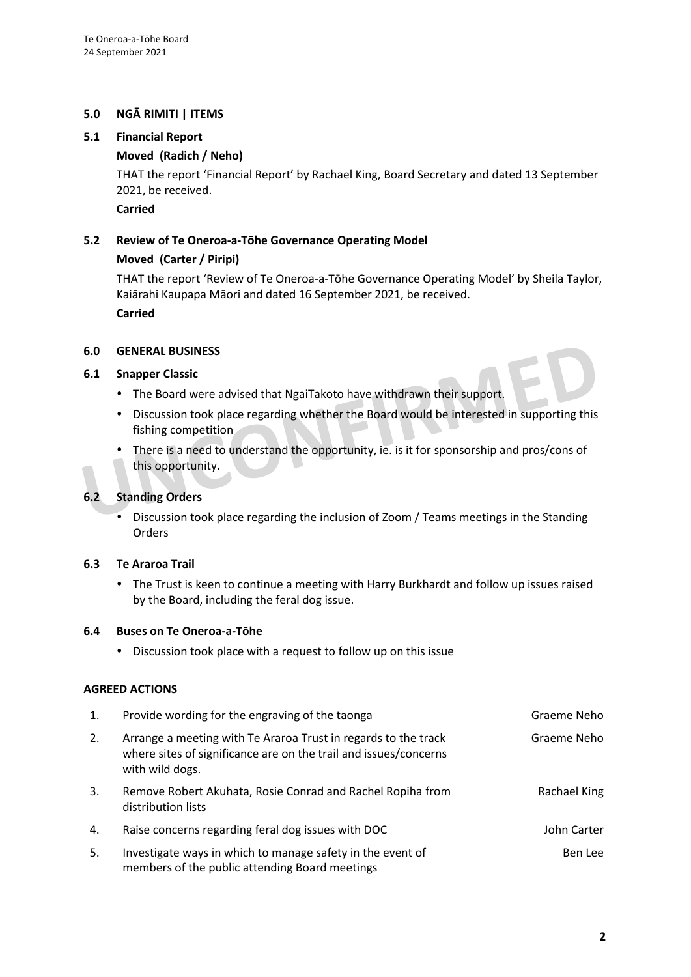# **5.0 NGĀ RIMITI | ITEMS**

#### **5.1 Financial Report**

#### **Moved (Radich / Neho)**

THAT the report 'Financial Report' by Rachael King, Board Secretary and dated 13 September 2021, be received.

**Carried**

# **5.2 Review of Te Oneroa-a-Tōhe Governance Operating Model**

# **Moved (Carter / Piripi)**

THAT the report 'Review of Te Oneroa-a-Tōhe Governance Operating Model' by Sheila Taylor, Kaiārahi Kaupapa Māori and dated 16 September 2021, be received.

**Carried**

#### **6.0 GENERAL BUSINESS**

#### **6.1 Snapper Classic**

- The Board were advised that NgaiTakoto have withdrawn their support.
- Discussion took place regarding whether the Board would be interested in supporting this fishing competition
- There is a need to understand the opportunity, ie. is it for sponsorship and pros/cons of this opportunity.

# **6.2 Standing Orders**

 Discussion took place regarding the inclusion of Zoom / Teams meetings in the Standing Orders

# **6.3 Te Araroa Trail**

• The Trust is keen to continue a meeting with Harry Burkhardt and follow up issues raised by the Board, including the feral dog issue.

#### **6.4 Buses on Te Oneroa-a-Tōhe**

Discussion took place with a request to follow up on this issue

#### **AGREED ACTIONS**

| $\mathbf{1}$ . | Provide wording for the engraving of the taonga                                                                                                       | Graeme Neho  |
|----------------|-------------------------------------------------------------------------------------------------------------------------------------------------------|--------------|
| 2.             | Arrange a meeting with Te Araroa Trust in regards to the track<br>where sites of significance are on the trail and issues/concerns<br>with wild dogs. | Graeme Neho  |
| 3.             | Remove Robert Akuhata, Rosie Conrad and Rachel Ropiha from<br>distribution lists                                                                      | Rachael King |
| 4.             | Raise concerns regarding feral dog issues with DOC                                                                                                    | John Carter  |
| 5.             | Investigate ways in which to manage safety in the event of<br>members of the public attending Board meetings                                          | Ben Lee      |